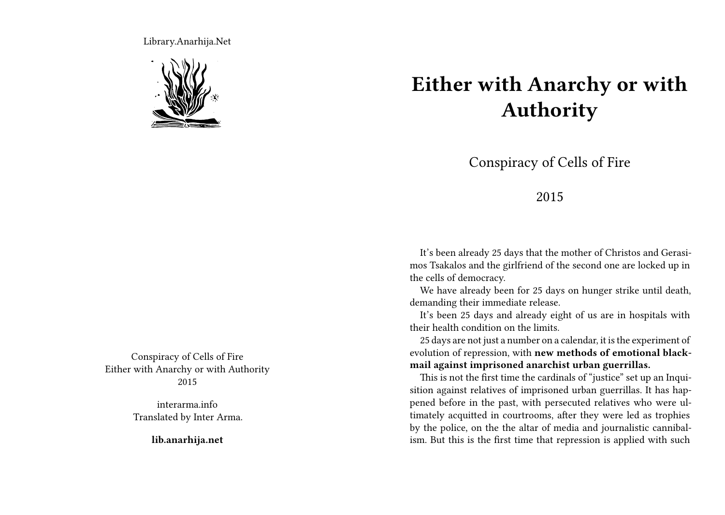Library.Anarhija.Net



Conspiracy of Cells of Fire Either with Anarchy or with Authority 2015

> interarma.info Translated by Inter Arma.

> > **lib.anarhija.net**

## **Either with Anarchy or with Authority**

Conspiracy of Cells of Fire

## 2015

It's been already 25 days that the mother of Christos and Gerasimos Tsakalos and the girlfriend of the second one are locked up in the cells of democracy.

We have already been for 25 days on hunger strike until death, demanding their immediate release.

It's been 25 days and already eight of us are in hospitals with their health condition on the limits.

25 days are not just a number on a calendar, it is the experiment of evolution of repression, with **new methods of emotional blackmail against imprisoned anarchist urban guerrillas.**

This is not the first time the cardinals of "justice" set up an Inquisition against relatives of imprisoned urban guerrillas. It has happened before in the past, with persecuted relatives who were ultimately acquitted in courtrooms, after they were led as trophies by the police, on the the altar of media and journalistic cannibalism. But this is the first time that repression is applied with such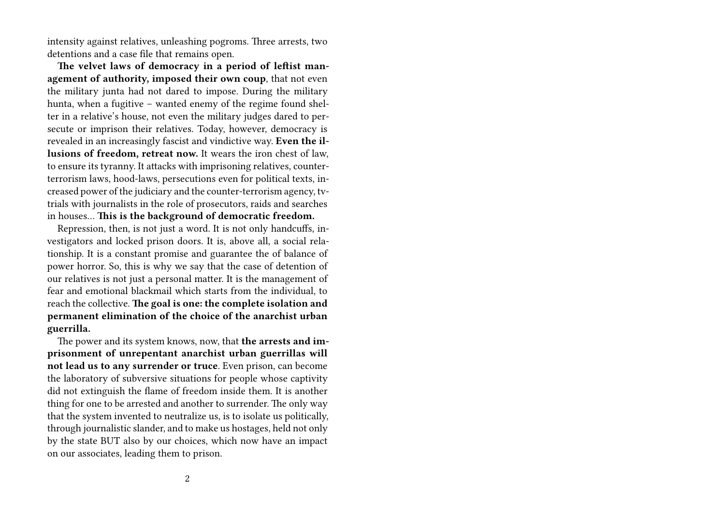intensity against relatives, unleashing pogroms. Three arrests, two detentions and a case file that remains open.

**The velvet laws of democracy in a period of leftist management of authority, imposed their own coup**, that not even the military junta had not dared to impose. During the military hunta, when a fugitive – wanted enemy of the regime found shelter in a relative's house, not even the military judges dared to persecute or imprison their relatives. Today, however, democracy is revealed in an increasingly fascist and vindictive way. **Even the illusions of freedom, retreat now.** It wears the iron chest of law, to ensure its tyranny. It attacks with imprisoning relatives, counterterrorism laws, hood-laws, persecutions even for political texts, increased power of the judiciary and the counter-terrorism agency, tvtrials with journalists in the role of prosecutors, raids and searches in houses… **This is the background of democratic freedom.**

Repression, then, is not just a word. It is not only handcuffs, investigators and locked prison doors. It is, above all, a social relationship. It is a constant promise and guarantee the of balance of power horror. So, this is why we say that the case of detention of our relatives is not just a personal matter. It is the management of fear and emotional blackmail which starts from the individual, to reach the collective. **The goal is one: the complete isolation and permanent elimination of the choice of the anarchist urban guerrilla.**

The power and its system knows, now, that **the arrests and imprisonment of unrepentant anarchist urban guerrillas will not lead us to any surrender or truce**. Even prison, can become the laboratory of subversive situations for people whose captivity did not extinguish the flame of freedom inside them. It is another thing for one to be arrested and another to surrender. The only way that the system invented to neutralize us, is to isolate us politically, through journalistic slander, and to make us hostages, held not only by the state BUT also by our choices, which now have an impact on our associates, leading them to prison.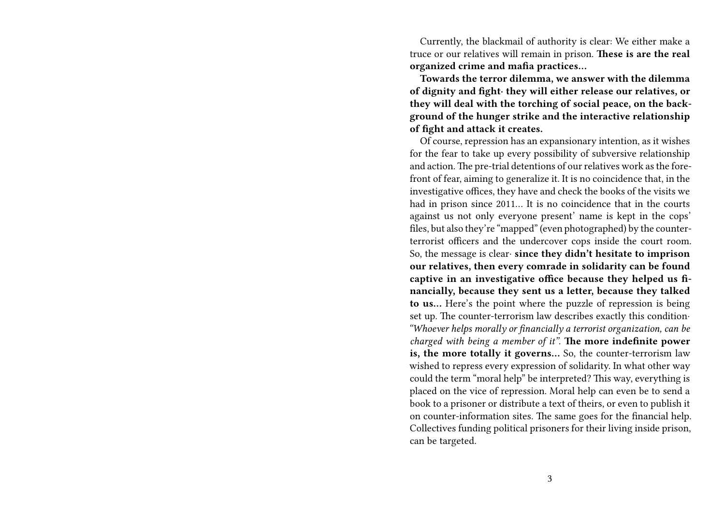Currently, the blackmail of authority is clear: We either make a truce or our relatives will remain in prison. **These is are the real organized crime and mafia practices…**

**Towards the terror dilemma, we answer with the dilemma of dignity and fight∙ they will either release our relatives, or they will deal with the torching of social peace, on the background of the hunger strike and the interactive relationship of fight and attack it creates.**

Of course, repression has an expansionary intention, as it wishes for the fear to take up every possibility of subversive relationship and action. The pre-trial detentions of our relatives work as the forefront of fear, aiming to generalize it. It is no coincidence that, in the investigative offices, they have and check the books of the visits we had in prison since 2011… It is no coincidence that in the courts against us not only everyone present' name is kept in the cops' files, but also they're "mapped" (even photographed) by the counterterrorist officers and the undercover cops inside the court room. So, the message is clear∙ **since they didn't hesitate to imprison our relatives, then every comrade in solidarity can be found captive in an investigative office because they helped us financially, because they sent us a letter, because they talked to us…** Here's the point where the puzzle of repression is being set up. The counter-terrorism law describes exactly this condition∙ *"Whoever helps morally or financially a terrorist organization, can be charged with being a member of it"*. **The more indefinite power is, the more totally it governs…** So, the counter-terrorism law wished to repress every expression of solidarity. In what other way could the term "moral help" be interpreted? This way, everything is placed on the vice of repression. Moral help can even be to send a book to a prisoner or distribute a text of theirs, or even to publish it on counter-information sites. The same goes for the financial help. Collectives funding political prisoners for their living inside prison, can be targeted.